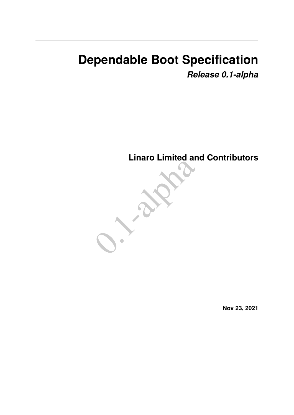# **Dependable Boot Specification** *Release 0.1-alpha*

**Linaro Limited and Contributors**



**Nov 23, 2021**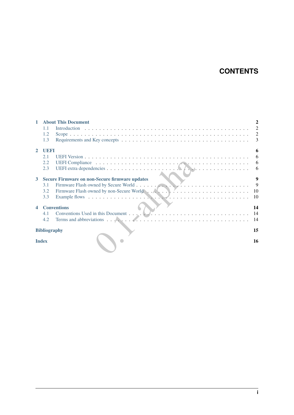# **CONTENTS**

| <b>About This Document</b><br>$\mathbf{1}$ |           |                                                                                                                                                                                                                                |                |  |  |
|--------------------------------------------|-----------|--------------------------------------------------------------------------------------------------------------------------------------------------------------------------------------------------------------------------------|----------------|--|--|
|                                            | 1.1       |                                                                                                                                                                                                                                | $\overline{2}$ |  |  |
|                                            | 1.2       |                                                                                                                                                                                                                                | 2              |  |  |
|                                            | 1.3       |                                                                                                                                                                                                                                | 3              |  |  |
| $\mathbf{2}$                               | UEFI<br>6 |                                                                                                                                                                                                                                |                |  |  |
|                                            | 2.1       |                                                                                                                                                                                                                                | 6              |  |  |
|                                            | 2.2       |                                                                                                                                                                                                                                | 6              |  |  |
|                                            | 2.3       |                                                                                                                                                                                                                                | 6              |  |  |
| $\mathbf{3}$                               |           | 9<br><b>Secure Firmware on non-Secure firmware updates</b>                                                                                                                                                                     |                |  |  |
|                                            | 3.1       |                                                                                                                                                                                                                                | 9              |  |  |
|                                            | 3.2       | Firmware Flash owned by non-Secure World (Alexandrein) and the state of the state of the state of the state of the state of the state of the state of the state of the state of the state of the state of the state of the sta | -10            |  |  |
|                                            | 3.3       |                                                                                                                                                                                                                                | <b>10</b>      |  |  |
| $\blacktriangleleft$                       |           | <b>Conventions</b><br>14                                                                                                                                                                                                       |                |  |  |
|                                            | 4.1       |                                                                                                                                                                                                                                | - 14           |  |  |
|                                            | 4.2       | Terms and abbreviations $\ldots$ , $\ldots$ , $\ldots$ , $\ldots$ , $\ldots$ , $\ldots$ , $\ldots$ , $\ldots$ , $\ldots$ , $\ldots$ , $\ldots$ , $\ldots$ , $\ldots$                                                           | - 14           |  |  |
| <b>Bibliography</b>                        |           |                                                                                                                                                                                                                                |                |  |  |
| <b>Index</b>                               |           |                                                                                                                                                                                                                                | 16             |  |  |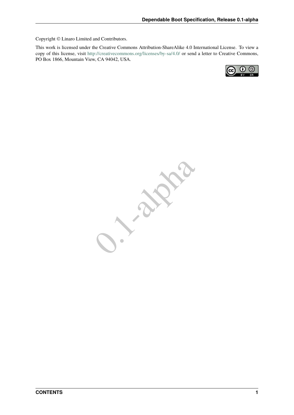Copyright © Linaro Limited and Contributors.

This work is licensed under the Creative Commons Attribution-ShareAlike 4.0 International License. To view a copy of this license, visit <http://creativecommons.org/licenses/by-sa/4.0/> or send a letter to Creative Commons, PO Box 1866, Mountain View, CA 94042, USA.



0.1-alpha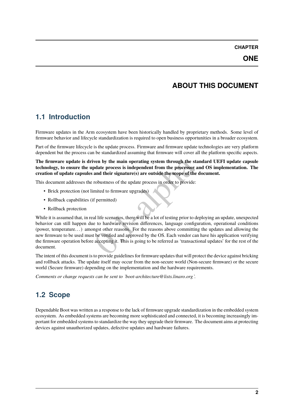# **ABOUT THIS DOCUMENT**

# <span id="page-3-1"></span><span id="page-3-0"></span>**1.1 Introduction**

Firmware updates in the Arm ecosystem have been historically handled by proprietary methods. Some level of firmware behavior and lifecycle standardization is required to open business opportunities in a broader ecosystem.

Part of the firmware lifecycle is the update process. Firmware and firmware update technologies are very platform dependent but the process can be standardized assuming that firmware will cover all the platform specific aspects.

**The firmware update is driven by the main operating system through the standard UEFI update capsule technology, to ensure the update process is independent from the processor and OS implementation. The creation of update capsules and their signature(s) are outside the scope of the document.**

This document addresses the robustness of the update process in order to provide:

- Brick protection (not limited to firmware upgrades)
- Rollback capabilities (if permitted)
- Rollback protection

ven by the main operating system through the standard UI<br>pdate process is independent from the processor and OS im<br>and their signature(s) are outside the scope of the document<br>robustness of the update process in order to p While it is assumed that, in real life scenarios, there will be a lot of testing prior to deploying an update, unexpected behavior can still happen due to hardware revision differences, language configuration, operational conditions (power, temperature. . . ) amongst other reasons. For the reasons above committing the updates and allowing the new firmware to be used must be verified and approved by the OS. Each vendor can have his application verifying the firmware operation before accepting it. This is going to be referred as 'transactional updates' for the rest of the document.

The intent of this document is to provide guidelines for firmware updates that will protect the device against bricking and rollback attacks. The update itself may occur from the non-secure world (Non-secure firmware) or the secure world (Secure firmware) depending on the implementation and the hardware requirements.

*Comments or change requests can be sent to `boot-architecture@lists.linaro.org`.*

# <span id="page-3-2"></span>**1.2 Scope**

Dependable Boot was written as a response to the lack of firmware upgrade standardization in the embedded system ecosystem. As embedded systems are becoming more sophisticated and connected, it is becoming increasingly important for embedded systems to standardize the way they upgrade their firmware. The document aims at protecting devices against unauthorized updates, defective updates and hardware failures.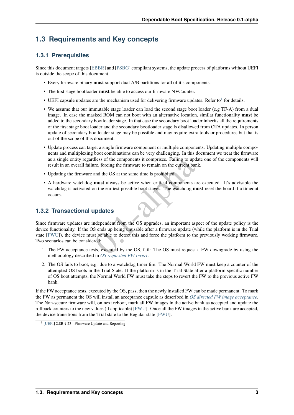### <span id="page-4-0"></span>**1.3 Requirements and Key concepts**

#### **1.3.1 Prerequisites**

Since this document targets [\[EBBR\]](#page-16-1) and [\[PSBG\]](#page-16-2) compliant systems, the update process of platforms without UEFI is outside the scope of this document.

- Every firmware binary **must** support dual A/B partitions for all of it's components.
- The first stage bootloader **must** be able to access our firmware NVCounter.
- UEFI capsule updates are the mechanism used for delivering firmware updates. Refer to<sup>[1](#page-4-1)</sup> for details.
- We assume that our immutable stage loader can load the second stage boot loader (e.g TF-A) from a dual image. In case the masked ROM can not boot with an alternative location, similar functionality **must** be added to the secondary bootloader stage. In that case the secondary boot loader inherits all the requirements of the first stage boot loader and the secondary bootloader stage is disallowed from OTA updates. In person update of secondary bootloader stage may be possible and may require extra tools or procedures but that is out of the scope of this document.
- Update process can target a single firmware component or multiple components. Updating multiple components and multiplexing boot combinations can be very challenging. In this document we treat the firmware as a single entity regardless of the components it comprises. Failing to update one of the components will result in an overall failure, forcing the firmware to remain on the current bank.
- Updating the firmware and the OS at the same time is prohibited.
- A hardware watchdog **must** always be active when critical components are executed. It's advisable the watchdog is activated on the earliest possible boot stages. The watchdog **must** reset the board if a timeout occurs.

#### **1.3.2 Transactional updates**

dless of the components it comprises. Failing to update one of<br>the first components it comprises. Failing to update one of<br>the entriest possible boot stages. The watchdog must reset the<br>n the earliest possible boot stages. Since firmware updates are independent from the OS upgrades, an important aspect of the update policy is the device functionality. If the OS ends up being unusable after a firmware update (while the platform is in the Trial state [\[FWU\]](#page-16-3)), the device must be able to detect this and force the platform to the previously working firmware. Two scenarios can be considered:

- 1. The FW acceptance tests, executed by the OS, fail: The OS must request a FW downgrade by using the methodology described in *[OS requested FW revert](#page-8-0)*.
- 2. The OS fails to boot, e.g. due to a watchdog timer fire: The Normal World FW must keep a counter of the attempted OS boots in the Trial State. If the platform is in the Trial State after a platform specific number of OS boot attempts, the Normal World FW must take the steps to revert the FW to the previous active FW bank.

If the FW acceptance tests, executed by the OS, pass, then the newly installed FW can be made permanent. To mark the FW as permanent the OS will install an acceptance capsule as described in *[OS directed FW image acceptance](#page-8-1)*. The Non-secure firmware will, on next reboot, mark all FW images in the active bank as accepted and update the rollback counters to the new values (if applicable) [\[FWU\]](#page-16-3). Once all the FW images in the active bank are accepted, the device transitions from the Trial state to the Regular state [\[FWU\]](#page-16-3).

<span id="page-4-1"></span><sup>1</sup> [\[UEFI\]](#page-16-4) 2.8B § 23 - Firmware Update and Reporting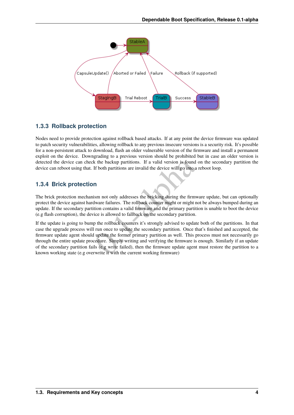

#### **1.3.3 Rollback protection**

Nodes need to provide protection against rollback based attacks. If at any point the device firmware was updated to patch security vulnerabilities, allowing rollback to any previous insecure versions is a security risk. It's possible for a non-persistent attack to download, flash an older vulnerable version of the firmware and install a permanent exploit on the device. Downgrading to a previous version should be prohibited but in case an older version is detected the device can check the backup partitions. If a valid version is found on the secondary partition the device can reboot using that. If both partitions are invalid the device will go into a reboot loop.

#### **1.3.4 Brick protection**

The brick protection mechanism not only addresses the bricking during the firmware update, but can optionally protect the device against hardware failures. The rollback counter might or might not be always bumped during an update. If the secondary partition contains a valid firmware and the primary partition is unable to boot the device (e.g flash corruption), the device is allowed to fallback on the secondary partition.

is the backup partitions. If a valid version is found on the sector of both partitions are invalid the device will go into a reboot loom If both partitions are invalid the device will go into a reboot loom If is more than If the update is going to bump the rollback counters it's strongly advised to update both of the partitions. In that case the upgrade process will run once to update the secondary partition. Once that's finished and accepted, the firmware update agent should update the former primary partition as well. This process must not necessarily go through the entire update procedure. Simply writing and verifying the firmware is enough. Similarly if an update of the secondary partition fails (e.g write failed), then the firmware update agent must restore the partition to a known working state (e.g overwrite it with the current working firmware)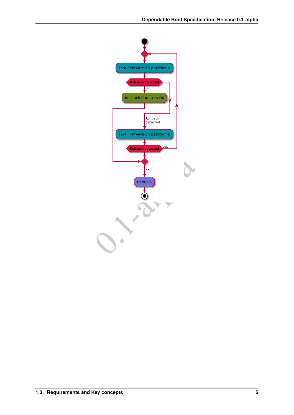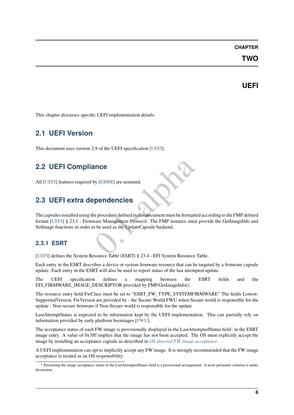#### **CHAPTER**

### **TWO**

#### **UEFI**

<span id="page-7-0"></span>This chapter discusses specific UEFI implementation details.

### <span id="page-7-1"></span>**2.1 UEFI Version**

This document uses version 2.9 of the UEFI specification [\[UEFI\]](#page-16-4).

### **2.2 UEFI Compliance**

All [\[UEFI\]](#page-16-4) features required by [EBBR] are assumed.

### <span id="page-7-3"></span>**2.3 UEFI extra dependencies**

<span id="page-7-2"></span>ance<br>
by [EBBR] are assumed.<br> **Experiment Protocol** and this document must be formatted according<br>
ware Management Protocol. The FMP instance must provide the<br>
be used as the UpdateCapsule backend.<br>
Sequence Table (FSRT) 8 The capsules installed using the procedure defined in this document must be formatted according to the FMP defined format [\[UEFI\]](#page-16-4) § 23.1 - Firmware Management Protocol. The FMP instance must provide the GetImageInfo and SetImage functions in order to be used as the UpdateCapsule backend.

#### **2.3.1 ESRT**

[\[UEFI\]](#page-16-4) defines the System Resource Table (ESRT) § 23.4 - EFI System Resource Table.

Each entry in the ESRT describes a device or system firmware resource that can be targeted by a firmware capsule update. Each entry in the ESRT will also be used to report status of the last attempted update.

The UEFI specification defines a mapping between the ESRT fields and the EFI\_FIRMWARE\_IMAGE\_DESCRIPTOR provided by FMP.GetImageInfo().

The resource entry field FwClass must be set to "ESRT\_FW\_TYPE\_SYSTEMFIRMWARE" The fields Lowest-SupportedVersion, FwVersion are provided by - the Secure World FWU when Secure world is responsible for the update - Non-secure firmware if Non-Secure world is responsible for the update

LastAttemptStatus is expected to be information kept by the UEFI implementation. This can partially rely on information provided by early platform bootstages [\[FWU\]](#page-16-3).

The acceptance status of each FW image is provisionally displayed in the LastAttemptedStatus field<sup>[1](#page-7-4)</sup> in the ESRT image entry. A value of 0x3fff implies that the image has not been accepted. The OS must explicitly accept the image by installing an acceptance capsule as described in *[OS directed FW image acceptance](#page-8-1)*.

A UEFI implementation can opt to implicitly accept any FW image. It is strongly recommended that the FW image acceptance is treated as an OS responsibility.

<span id="page-7-4"></span><sup>&</sup>lt;sup>1</sup> Presenting the image acceptance status in the LastAttemptedStatus field is a provisional arrangement. A more permanet solution is under discussion.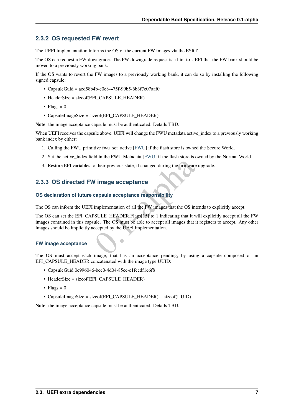#### <span id="page-8-0"></span>**2.3.2 OS requested FW revert**

The UEFI implementation informs the OS of the current FW images via the ESRT.

The OS can request a FW downgrade. The FW downgrade request is a hint to UEFI that the FW bank should be moved to a previously working bank.

If the OS wants to revert the FW images to a previously working bank, it can do so by installing the following signed capsule:

- CapsuleGuid =  $acd58b4b-c0e8-475f-99b5-6b3f7e07aaf0$
- HeaderSize = sizeof(EFI\_CAPSULE\_HEADER)
- Flags =  $0$
- CapsuleImageSize = sizeof(EFI\_CAPSULE\_HEADER)

**Note**: the image acceptance capsule must be authenticated. Details TBD.

When UEFI receives the capsule above, UEFI will change the FWU metadata active\_index to a previously working bank index by either:

- 1. Calling the FWU primitive fwu\_set\_active [\[FWU\]](#page-16-3) if the flash store is owned the Secure World.
- 2. Set the active\_index field in the FWU Metadata [\[FWU\]](#page-16-3) if the flash store is owned by the Normal World.
- 3. Restore EFI variables to their previous state, if changed during the firmware upgrade.

#### <span id="page-8-1"></span>**2.3.3 OS directed FW image acceptance**

#### **OS declaration of future capsule acceptance responsibility**

The OS can inform the UEFI implementation of all the FW images that the OS intends to explicitly accept.

o their previous state, if changed during the firmware upgrade.<br> **V** image acceptance<br>
capsule acceptance<br>
responsibility<br>
implementation of all the FW images that the OS intends to exp<br>
PSULE\_HEADER.Flags[15] to 1 indicat The OS can set the EFI\_CAPSULE\_HEADER.Flags[15] to 1 indicating that it will explicitly accept all the FW images contained in this capsule. The OS must be able to accept all images that it registers to accept. Any other images should be implicitly accepted by the UEFI implementation.

#### **FW image acceptance**

The OS must accept each image, that has an acceptance pending, by using a capsule composed of an EFI\_CAPSULE\_HEADER concatenated with the image type UUID:

- CapsuleGuid 0c996046-bcc0-4d04-85ec-e1fcedf1c6f8
- HeaderSize = sizeof(EFI\_CAPSULE\_HEADER)
- Flags =  $0$
- CapsuleImageSize = sizeof(EFI\_CAPSULE\_HEADER) + sizeof(UUID)

**Note**: the image acceptance capsule must be authenticated. Details TBD.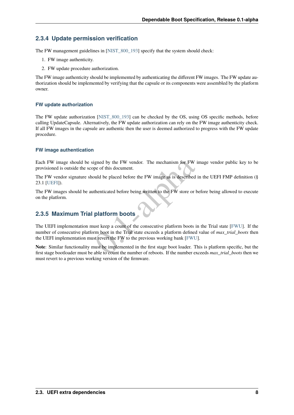#### **2.3.4 Update permission verification**

The FW management guidelines in [\[NIST\\_800\\_193\]](#page-16-5) specify that the system should check:

- 1. FW image authenticity.
- 2. FW update procedure authorization.

The FW image authenticity should be implemented by authenticating the different FW images. The FW update authorization should be implemented by verifying that the capsule or its components were assembled by the platform owner.

#### **FW update authorization**

The FW update authorization [NIST 800-193] can be checked by the OS, using OS specific methods, before calling UpdateCapsule. Alternatively, the FW update authorization can rely on the FW image authenticity check. If all FW images in the capsule are authentic then the user is deemed authorized to progress with the FW update procedure.

#### **FW image authentication**

Each FW image should be signed by the FW vendor. The mechanism for FW image vendor public key to be provisioned is outside the scope of this document.

The FW vendor signature should be placed before the FW image as is described in the UEFI FMP definition (§ 23.1 [\[UEFI\]](#page-16-4)).

The FW images should be authenticated before being written to the FW store or before being allowed to execute on the platform.

#### **2.3.5 Maximum Trial platform boots**

igned by the FW vendor. The mechanism for FW image ven<br>pe of this document.<br>build be placed before the FW image as is described in the UEI<br>thenticated before being written to the FW store or before bein<br>**platform boots**<br>us The UEFI implementation must keep a count of the consecutive platform boots in the Trial state [\[FWU\]](#page-16-3). If the number of consecutive platform boot in the Trial state exceeds a platform defined value of *max\_trial\_boots* then the UEFI implementation must revert the FW to the previous working bank [\[FWU\]](#page-16-3).

**Note**: Similar functionality must be implemented in the first stage boot loader. This is platform specific, but the first stage bootloader must be able to count the number of reboots. If the number exceeds *max\_trial\_boots* then we must revert to a previous working version of the firmware.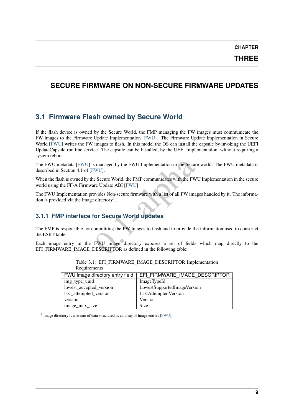### <span id="page-10-0"></span>**SECURE FIRMWARE ON NON-SECURE FIRMWARE UPDATES**

### <span id="page-10-1"></span>**3.1 Firmware Flash owned by Secure World**

If the flash device is owned by the Secure World, the FMP managing the FW images must communicate the FW images to the Firmware Update Implementation [\[FWU\]](#page-16-3). The Firmware Update Implementation in Secure World [\[FWU\]](#page-16-3) writes the FW images to flash. In this model the OS can install the capsule by invoking the UEFI UpdateCapsule runtime service. The capsule can be installed, by the UEFI Implementation, without requiring a system reboot.

The FWU metadata [\[FWU\]](#page-16-3) is managed by the FWU Implementation in the Secure world. The FWU metadata is described in Section 4.1 of [\[FWU\]](#page-16-3).

Somanaged by the FWU Implementation in the Secure world. The Secure World, the FMP communicates with the FWU Implement Update ABI [FWU]<br>The Update ABI [FWU]<br>The Update ABI [FWU]<br>The Update ABI (FWU)<br>The Update Some Secure When the flash is owned by the Secure World, the FMP communicates with the FWU Implementation in the secure world using the FF-A Firmware Update ABI [FWU]

The FWU Implementation provides Non-secure firmware with a list of all FW images handled by it. The information is provided via the image directory<sup>1</sup>.

#### **3.1.1 FMP interface for Secure World updates**

The FMP is responsible for committing the FW images to flash and to provide the information used to construct the ESRT table.

Each image entry in the FWU image directory exposes a set of fields which map directly to the EFI\_FIRMWARE\_IMAGE\_DESCRIPTOR as defined in the following table:

| FWU image directory entry field | EFI FIRMWARE IMAGE DESCRIPTOR |
|---------------------------------|-------------------------------|
| img_type_uuid                   | <b>ImageTypeId</b>            |
| lowest_accepted_version         | LowestSupportedImageVersion   |
| last_attempted_version          | LastAttemptedVersion          |
| version                         | Version                       |
| image_max_size                  | Size                          |

Table 3.1: EFI\_FIRMWARE\_IMAGE\_DESCRIPTOR Implementation Requirements

<span id="page-10-2"></span><sup>1</sup> image directory is a stream of data structured as an array of image entries [\[FWU\]](#page-16-3).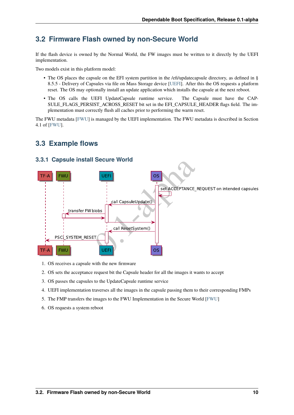### <span id="page-11-0"></span>**3.2 Firmware Flash owned by non-Secure World**

If the flash device is owned by the Normal World, the FW images must be written to it directly by the UEFI implementation.

Two models exist in this platform model:

- The OS places the capsule on the EFI system partition in the /efi/updatecapsule directory, as defined in § 8.5.5 - Delivery of Capsules via file on Mass Storage device [\[UEFI\]](#page-16-4). After this the OS requests a platform reset. The OS may optionally install an update application which installs the capsule at the next reboot.
- The OS calls the UEFI UpdateCapsule runtime service. The Capsule must have the CAP-SULE\_FLAGS\_PERSIST\_ACROSS\_RESET bit set in the EFI\_CAPSULE\_HEADER flags field. The implementation must correctly flush all caches prior to performing the warm reset.

The FWU metadata [\[FWU\]](#page-16-3) is managed by the UEFI implementation. The FWU metadata is described in Section 4.1 of [\[FWU\]](#page-16-3).

#### <span id="page-11-1"></span>**3.3 Example flows**



#### **3.3.1 Capsule install Secure World**

- 1. OS receives a capsule with the new firmware
- 2. OS sets the acceptance request bit the Capsule header for all the images it wants to accept
- 3. OS passes the capsules to the UpdateCapsule runtime service
- 4. UEFI implementation traverses all the images in the capsule passing them to their corresponding FMPs
- 5. The FMP transfers the images to the FWU Implementation in the Secure World [\[FWU\]](#page-16-3)
- 6. OS requests a system reboot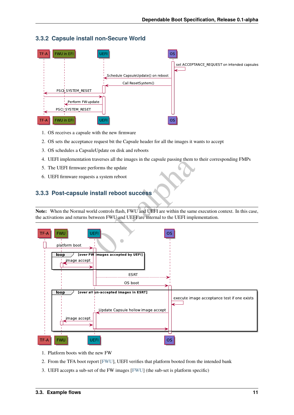

#### **3.3.2 Capsule install non-Secure World**

- 1. OS receives a capsule with the new firmware
- 2. OS sets the acceptance request bit the Capsule header for all the images it wants to accept
- 3. OS schedules a CapsuleUpdate on disk and reboots
- 4. UEFI implementation traverses all the images in the capsule passing them to their corresponding FMPs
- 5. The UEFI firmware performs the update
- 6. UEFI firmware requests a system reboot

#### **3.3.3 Post-capsule install reboot success**

**Note:** When the Normal world controls flash, FWU and UEFI are within the same execution context. In this case, the activations and returns between FWU and UEFI are internal to the UEFI implementation.



- 1. Platform boots with the new FW
- 2. From the TFA boot report [\[FWU\]](#page-16-3), UEFI verifies that platform booted from the intended bank
- 3. UEFI accepts a sub-set of the FW images [\[FWU\]](#page-16-3) (the sub-set is platform specific)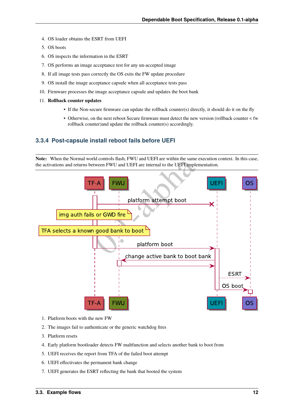- 4. OS loader obtains the ESRT from UEFI
- 5. OS boots
- 6. OS inspects the information in the ESRT
- 7. OS performs an image acceptance test for any un-accepted image
- 8. If all image tests pass correctly the OS exits the FW update procedure
- 9. OS install the image acceptance capsule when all acceptance tests pass
- 10. Firmware processes the image acceptance capsule and updates the boot bank
- 11. **Rollback counter updates**
	- If the Non-secure firmware can update the rollback counter(s) directly, it should do it on the fly
	- Otherwise, on the next reboot Secure firmware must detect the new version (rollback counter < fw rollback counter)and update the rollback counter(s) accordingly.

#### **3.3.4 Post-capsule install reboot fails before UEFI**

**Note:** When the Normal world controls flash, FWU and UEFI are within the same execution context. In this case, the activations and returns between FWU and UEFI are internal to the UEFI implementation.

![](_page_13_Figure_13.jpeg)

- 1. Platform boots with the new FW
- 2. The images fail to authenticate or the generic watchdog fires
- 3. Platform resets
- 4. Early platform bootloader detects FW maltfunction and selects another bank to boot from
- 5. UEFI receives the report from TFA of the failed boot attempt
- 6. UEFI effectivates the permanent bank change
- 7. UEFI generates the ESRT reflecting the bank that booted the system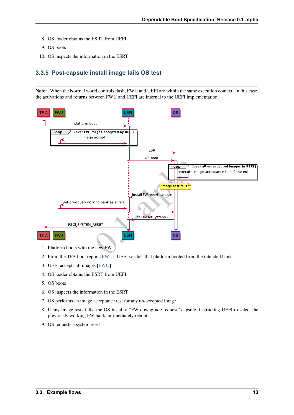- 8. OS loader obtains the ESRT from UEFI
- 9. OS boots
- 10. OS inspects the information in the ESRT

#### **3.3.5 Post-capsule install image fails OS test**

**Note:** When the Normal world controls flash, FWU and UEFI are within the same execution context. In this case, the activations and returns between FWU and UEFI are internal to the UEFI implementation.

![](_page_14_Figure_6.jpeg)

- 1. Platform boots with the new FW
- 2. From the TFA boot report [\[FWU\]](#page-16-3), UEFI verifies that platform booted from the intended bank
- 3. UEFI accepts all images [\[FWU\]](#page-16-3)
- 4. OS loader obtains the ESRT from UEFI
- 5. OS boots
- 6. OS inspects the information in the ESRT
- 7. OS performs an image acceptance test for any un-accepted image
- 8. If any image tests fails, the OS install a "FW downgrade request" capsule, instructing UEFI to select the previously working FW bank, or imediately reboots.
- 9. OS requests a system reset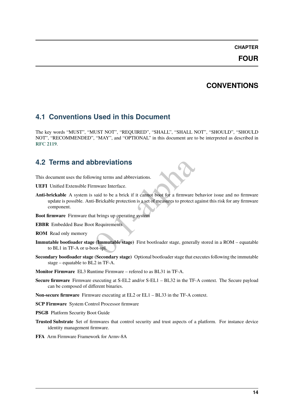# **CHAPTER FOUR**

# **CONVENTIONS**

### <span id="page-15-3"></span><span id="page-15-1"></span><span id="page-15-0"></span>**4.1 Conventions Used in this Document**

The key words "MUST", "MUST NOT", "REQUIRED", "SHALL", "SHALL NOT", "SHOULD", "SHOULD NOT", "RECOMMENDED", "MAY", and "OPTIONAL" in this document are to be interpreted as described in **[RFC 2119](https://tools.ietf.org/html/rfc2119.html)**.

### **4.2 Terms and abbreviations**

This document uses the following terms and abbreviations.

- **UEFI** Unified Extensible Firmware Interface.
- <span id="page-15-2"></span>**Solutions**<br>
Solutions<br>
Solutions<br>
Solutions<br>
Solutions<br>
Solutions<br>
Solutions<br>
Solutions<br>
Solutions<br>
Contained Solutions<br>
Contained Solutions<br>
Contained Solutions<br>
Contained Solutions<br>
Contained Solutions<br>
Contained Soluti **Anti-brickable** A system is said to be a brick if it cannot boot for a firmware behavior issue and no firmware update is possible. Anti-Brickable protection is a set of measures to protect against this risk for any firmware component.
- **Boot firmware** Firmware that brings up operating system
- **EBBR** Embedded Base Boot Requirements
- **ROM** Read only memory
- **Immutable bootloader stage (Immutable stage)** First bootloader stage, generally stored in a ROM equatable to BL1 in TF-A or u-boot-spl.
- **Secondary bootloader stage (Secondary stage)** Optional bootloader stage that executes following the immutable stage – equatable to BL2 in TF-A.
- **Monitor Firmware** EL3 Runtime Firmware refered to as BL31 in TF-A.
- **Secure firmware** Firmware executing at S-EL2 and/or S-EL1 BL32 in the TF-A context. The Secure payload can be composed of different binaries.
- **Non-secure firmware** Firmware executing at EL2 or EL1 BL33 in the TF-A context.
- **SCP Firmware** System Control Processor firmware
- **PSGB** Platform Security Boot Guide
- **Trusted Substrate** Set of firmwares that control security and trust aspects of a platform. For instance device identity management firmware.
- **FFA** Arm Firmware Framework for Armv-8A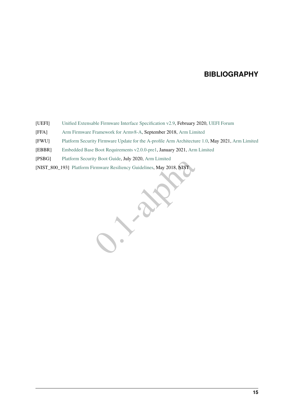### **BIBLIOGRAPHY**

- <span id="page-16-4"></span><span id="page-16-0"></span>[UEFI] [Unified Extensable Firmware Interface Specification v2.9,](https://uefi.org/sites/default/files/resources/UEFI_Spec_2_9_2021_03_18.pdf) February 2020, [UEFI Forum](http://www.uefi.org)
- [FFA] [Arm Firmware Framework for Armv8-A,](https://developer.arm.com/documentation/den0077/a/) September 2018, [Arm Limited](http://arm.com)
- <span id="page-16-3"></span>[FWU] [Platform Security Firmware Update for the A-profile Arm Architecture 1.0,](https://developer.arm.com/documentation/den0118/a) May 2021, [Arm Limited](http://arm.com)
- <span id="page-16-1"></span>[EBBR] [Embedded Base Boot Requirements v2.0.0-pre1,](https://arm-software.github.io/ebbr/) January 2021, [Arm Limited](http://arm.com)
- <span id="page-16-2"></span>[PSBG] [Platform Security Boot Guide,](https://developer.arm.com/documentation/den0072/0101) July 2020, [Arm Limited](http://arm.com)
- <span id="page-16-5"></span>irmware Resiliency Guidelines, May 2018, NIST [NIST\_800\_193] [Platform Firmware Resiliency Guidelines,](https://csrc.nist.gov/publications/detail/sp/800-193/final) May 2018, NIST